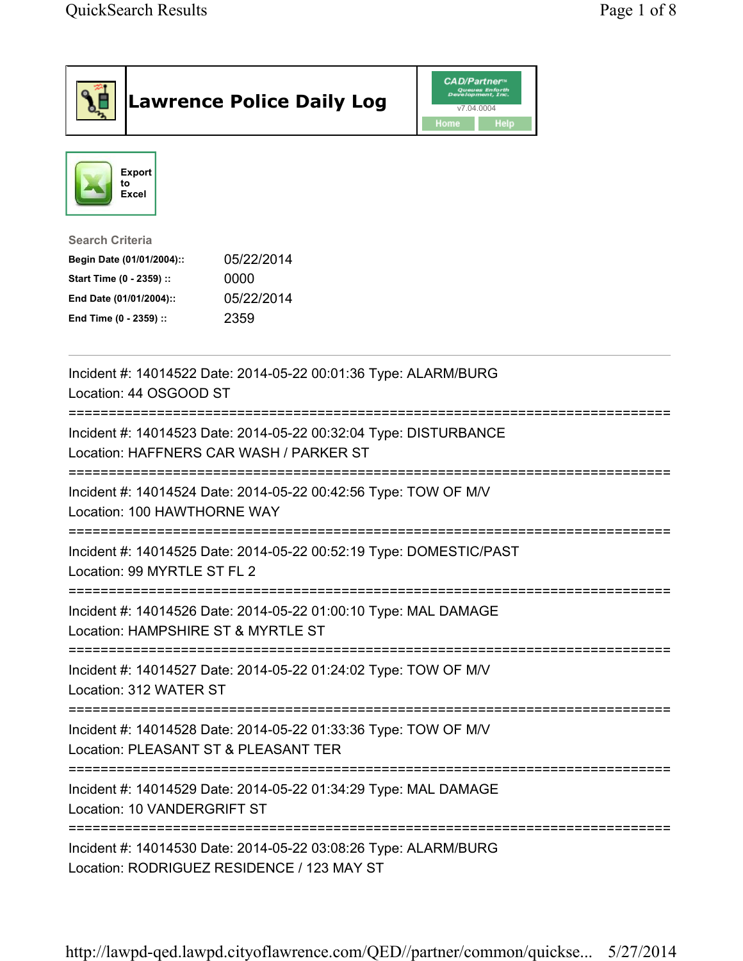| <b>Lawrence Police Daily Log</b>                                                                                                                                                 |  | CAD/Partner™<br>Queues Enforth<br>Development, Inc.<br>v7.04.0004<br>Home<br>Help |  |  |
|----------------------------------------------------------------------------------------------------------------------------------------------------------------------------------|--|-----------------------------------------------------------------------------------|--|--|
| Export<br>to<br>Excel                                                                                                                                                            |  |                                                                                   |  |  |
| <b>Search Criteria</b><br>05/22/2014<br>Begin Date (01/01/2004)::<br>Start Time (0 - 2359) ::<br>0000<br>05/22/2014<br>End Date (01/01/2004)::<br>2359<br>End Time (0 - 2359) :: |  |                                                                                   |  |  |
| Incident #: 14014522 Date: 2014-05-22 00:01:36 Type: ALARM/BURG<br>Location: 44 OSGOOD ST                                                                                        |  |                                                                                   |  |  |
| Incident #: 14014523 Date: 2014-05-22 00:32:04 Type: DISTURBANCE<br>Location: HAFFNERS CAR WASH / PARKER ST                                                                      |  |                                                                                   |  |  |
| =====================================<br>Incident #: 14014524 Date: 2014-05-22 00:42:56 Type: TOW OF M/V<br>Location: 100 HAWTHORNE WAY                                          |  |                                                                                   |  |  |
| Incident #: 14014525 Date: 2014-05-22 00:52:19 Type: DOMESTIC/PAST<br>Location: 99 MYRTLE ST FL 2                                                                                |  |                                                                                   |  |  |
| Incident #: 14014526 Date: 2014-05-22 01:00:10 Type: MAL DAMAGE<br>Location: HAMPSHIRE ST & MYRTLE ST                                                                            |  |                                                                                   |  |  |
| Incident #: 14014527 Date: 2014-05-22 01:24:02 Type: TOW OF M/V<br>Location: 312 WATER ST                                                                                        |  |                                                                                   |  |  |
| Incident #: 14014528 Date: 2014-05-22 01:33:36 Type: TOW OF M/V<br>Location: PLEASANT ST & PLEASANT TER                                                                          |  |                                                                                   |  |  |
| Incident #: 14014529 Date: 2014-05-22 01:34:29 Type: MAL DAMAGE<br>Location: 10 VANDERGRIFT ST                                                                                   |  |                                                                                   |  |  |
| Incident #: 14014530 Date: 2014-05-22 03:08:26 Type: ALARM/BURG<br>Location: RODRIGUEZ RESIDENCE / 123 MAY ST                                                                    |  |                                                                                   |  |  |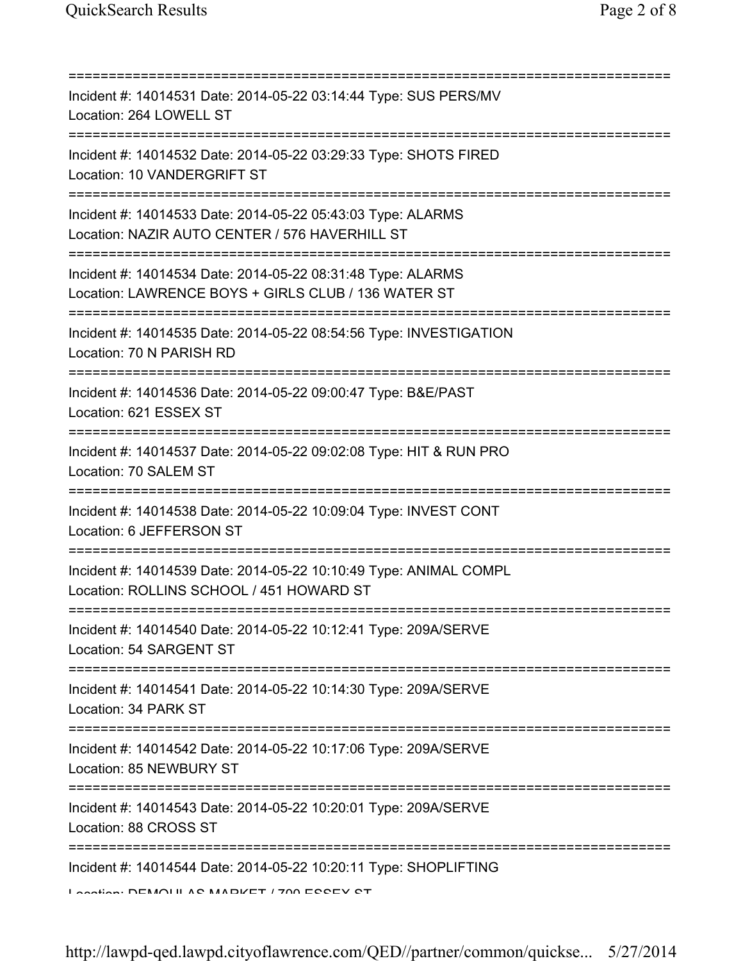| Incident #: 14014531 Date: 2014-05-22 03:14:44 Type: SUS PERS/MV<br>Location: 264 LOWELL ST                                                             |
|---------------------------------------------------------------------------------------------------------------------------------------------------------|
| Incident #: 14014532 Date: 2014-05-22 03:29:33 Type: SHOTS FIRED<br>Location: 10 VANDERGRIFT ST                                                         |
| Incident #: 14014533 Date: 2014-05-22 05:43:03 Type: ALARMS<br>Location: NAZIR AUTO CENTER / 576 HAVERHILL ST<br>====================================== |
| Incident #: 14014534 Date: 2014-05-22 08:31:48 Type: ALARMS<br>Location: LAWRENCE BOYS + GIRLS CLUB / 136 WATER ST                                      |
| Incident #: 14014535 Date: 2014-05-22 08:54:56 Type: INVESTIGATION<br>Location: 70 N PARISH RD                                                          |
| Incident #: 14014536 Date: 2014-05-22 09:00:47 Type: B&E/PAST<br>Location: 621 ESSEX ST                                                                 |
| Incident #: 14014537 Date: 2014-05-22 09:02:08 Type: HIT & RUN PRO<br>Location: 70 SALEM ST<br>;=============================                           |
| Incident #: 14014538 Date: 2014-05-22 10:09:04 Type: INVEST CONT<br>Location: 6 JEFFERSON ST                                                            |
| Incident #: 14014539 Date: 2014-05-22 10:10:49 Type: ANIMAL COMPL<br>Location: ROLLINS SCHOOL / 451 HOWARD ST                                           |
| Incident #: 14014540 Date: 2014-05-22 10:12:41 Type: 209A/SERVE<br>Location: 54 SARGENT ST                                                              |
| Incident #: 14014541 Date: 2014-05-22 10:14:30 Type: 209A/SERVE<br>Location: 34 PARK ST                                                                 |
| Incident #: 14014542 Date: 2014-05-22 10:17:06 Type: 209A/SERVE<br>Location: 85 NEWBURY ST                                                              |
| Incident #: 14014543 Date: 2014-05-22 10:20:01 Type: 209A/SERVE<br>Location: 88 CROSS ST                                                                |
| Incident #: 14014544 Date: 2014-05-22 10:20:11 Type: SHOPLIFTING<br>Location: DEMOUL AC MADIZET / 700 ECCEV CT                                          |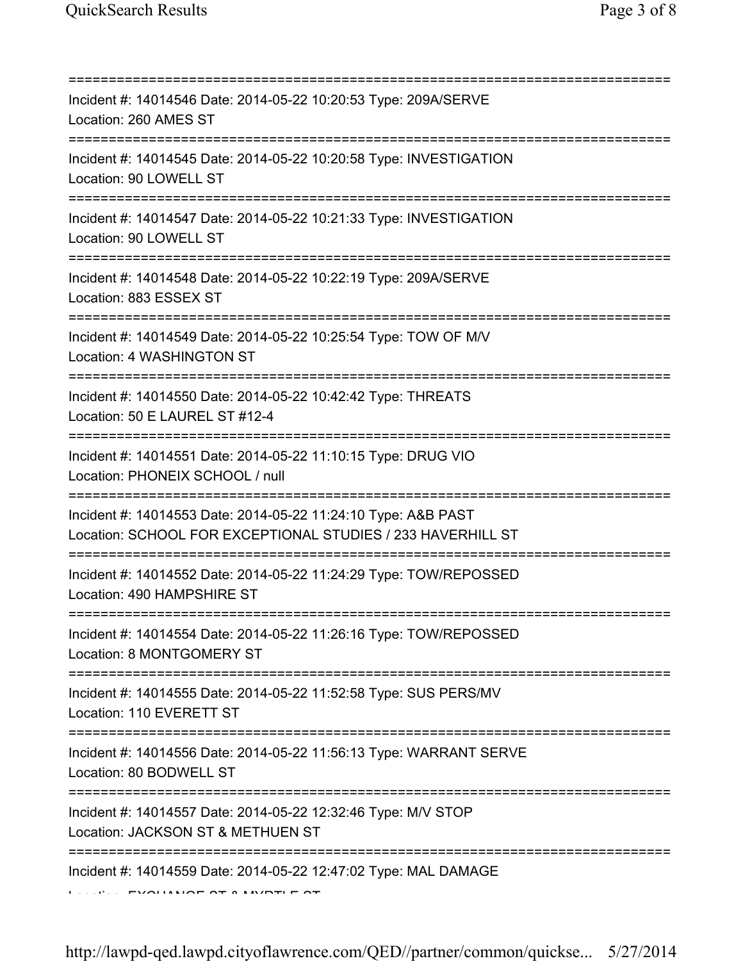| Incident #: 14014546 Date: 2014-05-22 10:20:53 Type: 209A/SERVE<br>Location: 260 AMES ST                                             |
|--------------------------------------------------------------------------------------------------------------------------------------|
| :================================<br>Incident #: 14014545 Date: 2014-05-22 10:20:58 Type: INVESTIGATION<br>Location: 90 LOWELL ST    |
| Incident #: 14014547 Date: 2014-05-22 10:21:33 Type: INVESTIGATION<br>Location: 90 LOWELL ST                                         |
| Incident #: 14014548 Date: 2014-05-22 10:22:19 Type: 209A/SERVE<br>Location: 883 ESSEX ST                                            |
| Incident #: 14014549 Date: 2014-05-22 10:25:54 Type: TOW OF M/V<br>Location: 4 WASHINGTON ST<br>;=================================== |
| Incident #: 14014550 Date: 2014-05-22 10:42:42 Type: THREATS<br>Location: 50 E LAUREL ST #12-4<br>-===============================   |
| Incident #: 14014551 Date: 2014-05-22 11:10:15 Type: DRUG VIO<br>Location: PHONEIX SCHOOL / null                                     |
| Incident #: 14014553 Date: 2014-05-22 11:24:10 Type: A&B PAST<br>Location: SCHOOL FOR EXCEPTIONAL STUDIES / 233 HAVERHILL ST         |
| Incident #: 14014552 Date: 2014-05-22 11:24:29 Type: TOW/REPOSSED<br>Location: 490 HAMPSHIRE ST                                      |
| Incident #: 14014554 Date: 2014-05-22 11:26:16 Type: TOW/REPOSSED<br>Location: 8 MONTGOMERY ST                                       |
| Incident #: 14014555 Date: 2014-05-22 11:52:58 Type: SUS PERS/MV<br>Location: 110 EVERETT ST                                         |
| Incident #: 14014556 Date: 2014-05-22 11:56:13 Type: WARRANT SERVE<br>Location: 80 BODWELL ST                                        |
| Incident #: 14014557 Date: 2014-05-22 12:32:46 Type: M/V STOP<br>Location: JACKSON ST & METHUEN ST                                   |
| Incident #: 14014559 Date: 2014-05-22 12:47:02 Type: MAL DAMAGE<br>T                                                                 |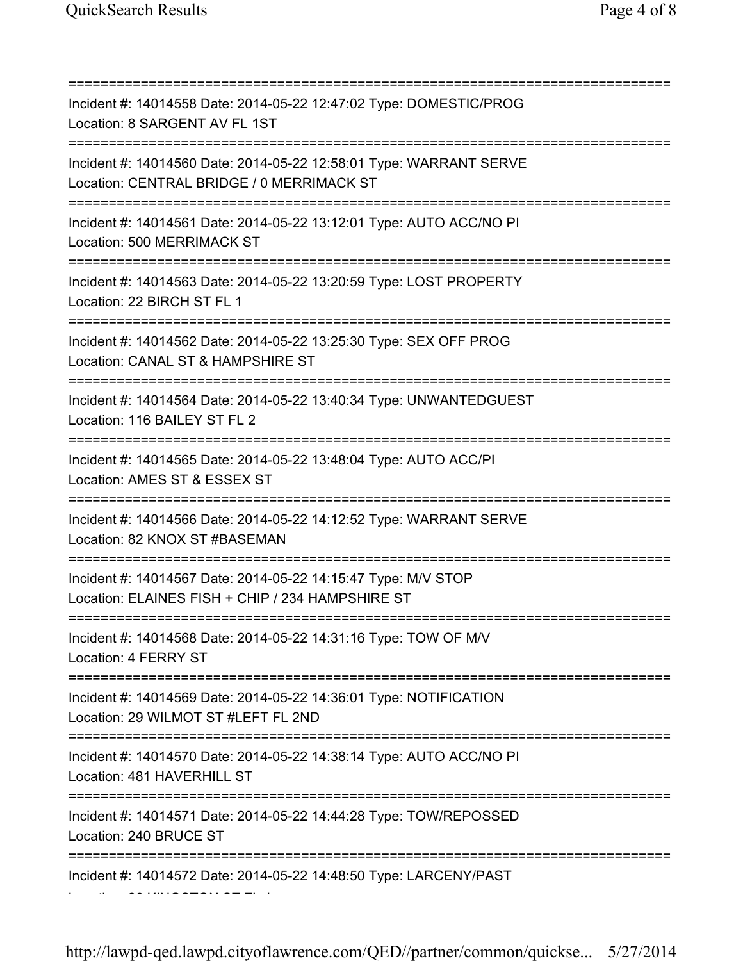=========================================================================== Incident #: 14014558 Date: 2014-05-22 12:47:02 Type: DOMESTIC/PROG Location: 8 SARGENT AV FL 1ST =========================================================================== Incident #: 14014560 Date: 2014-05-22 12:58:01 Type: WARRANT SERVE Location: CENTRAL BRIDGE / 0 MERRIMACK ST =========================================================================== Incident #: 14014561 Date: 2014-05-22 13:12:01 Type: AUTO ACC/NO PI Location: 500 MERRIMACK ST =========================================================================== Incident #: 14014563 Date: 2014-05-22 13:20:59 Type: LOST PROPERTY Location: 22 BIRCH ST FL 1 =========================================================================== Incident #: 14014562 Date: 2014-05-22 13:25:30 Type: SEX OFF PROG Location: CANAL ST & HAMPSHIRE ST =========================================================================== Incident #: 14014564 Date: 2014-05-22 13:40:34 Type: UNWANTEDGUEST Location: 116 BAILEY ST FL 2 =========================================================================== Incident #: 14014565 Date: 2014-05-22 13:48:04 Type: AUTO ACC/PI Location: AMES ST & ESSEX ST =========================================================================== Incident #: 14014566 Date: 2014-05-22 14:12:52 Type: WARRANT SERVE Location: 82 KNOX ST #BASEMAN =========================================================================== Incident #: 14014567 Date: 2014-05-22 14:15:47 Type: M/V STOP Location: ELAINES FISH + CHIP / 234 HAMPSHIRE ST =========================================================================== Incident #: 14014568 Date: 2014-05-22 14:31:16 Type: TOW OF M/V Location: 4 FERRY ST =========================================================================== Incident #: 14014569 Date: 2014-05-22 14:36:01 Type: NOTIFICATION Location: 29 WILMOT ST #LEFT FL 2ND =========================================================================== Incident #: 14014570 Date: 2014-05-22 14:38:14 Type: AUTO ACC/NO PI Location: 481 HAVERHILL ST =========================================================================== Incident #: 14014571 Date: 2014-05-22 14:44:28 Type: TOW/REPOSSED Location: 240 BRUCE ST =========================================================================== Incident #: 14014572 Date: 2014-05-22 14:48:50 Type: LARCENY/PAST Location: 26 KINGSTON ST FL 1

http://lawpd-qed.lawpd.cityoflawrence.com/QED//partner/common/quickse... 5/27/2014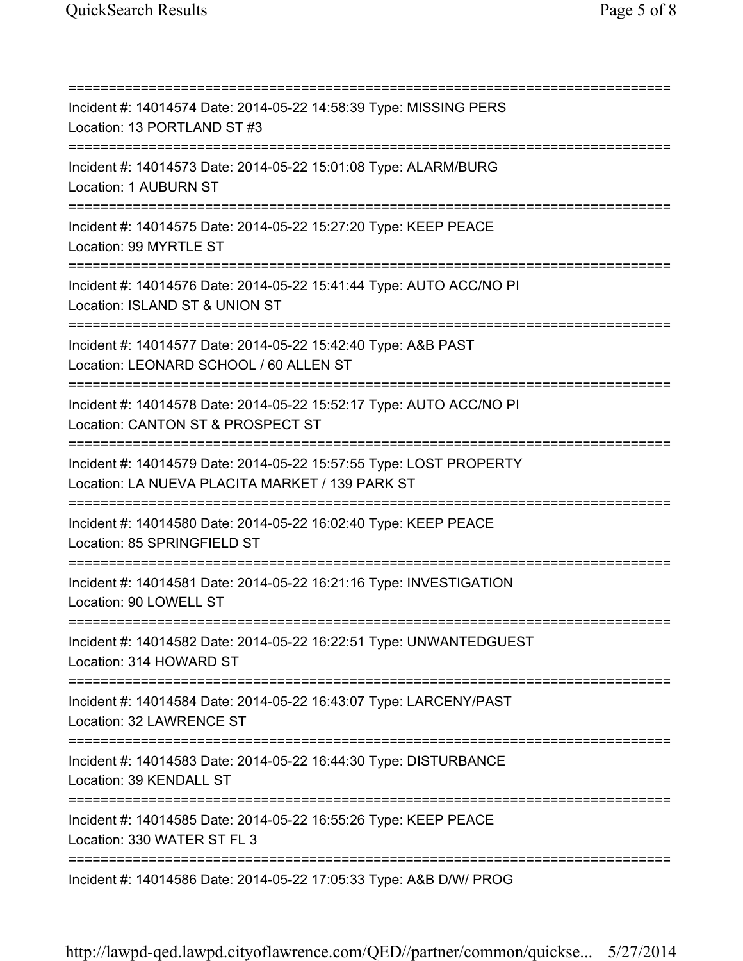=========================================================================== Incident #: 14014574 Date: 2014-05-22 14:58:39 Type: MISSING PERS Location: 13 PORTLAND ST #3 =========================================================================== Incident #: 14014573 Date: 2014-05-22 15:01:08 Type: ALARM/BURG Location: 1 AUBURN ST =========================================================================== Incident #: 14014575 Date: 2014-05-22 15:27:20 Type: KEEP PEACE Location: 99 MYRTLE ST =========================================================================== Incident #: 14014576 Date: 2014-05-22 15:41:44 Type: AUTO ACC/NO PI Location: ISLAND ST & UNION ST =========================================================================== Incident #: 14014577 Date: 2014-05-22 15:42:40 Type: A&B PAST Location: LEONARD SCHOOL / 60 ALLEN ST =========================================================================== Incident #: 14014578 Date: 2014-05-22 15:52:17 Type: AUTO ACC/NO PI Location: CANTON ST & PROSPECT ST =========================================================================== Incident #: 14014579 Date: 2014-05-22 15:57:55 Type: LOST PROPERTY Location: LA NUEVA PLACITA MARKET / 139 PARK ST =========================================================================== Incident #: 14014580 Date: 2014-05-22 16:02:40 Type: KEEP PEACE Location: 85 SPRINGFIELD ST =========================================================================== Incident #: 14014581 Date: 2014-05-22 16:21:16 Type: INVESTIGATION Location: 90 LOWELL ST =========================================================================== Incident #: 14014582 Date: 2014-05-22 16:22:51 Type: UNWANTEDGUEST Location: 314 HOWARD ST =========================================================================== Incident #: 14014584 Date: 2014-05-22 16:43:07 Type: LARCENY/PAST Location: 32 LAWRENCE ST =========================================================================== Incident #: 14014583 Date: 2014-05-22 16:44:30 Type: DISTURBANCE Location: 39 KENDALL ST =========================================================================== Incident #: 14014585 Date: 2014-05-22 16:55:26 Type: KEEP PEACE Location: 330 WATER ST FL 3 =========================================================================== Incident #: 14014586 Date: 2014-05-22 17:05:33 Type: A&B D/W/ PROG

http://lawpd-qed.lawpd.cityoflawrence.com/QED//partner/common/quickse... 5/27/2014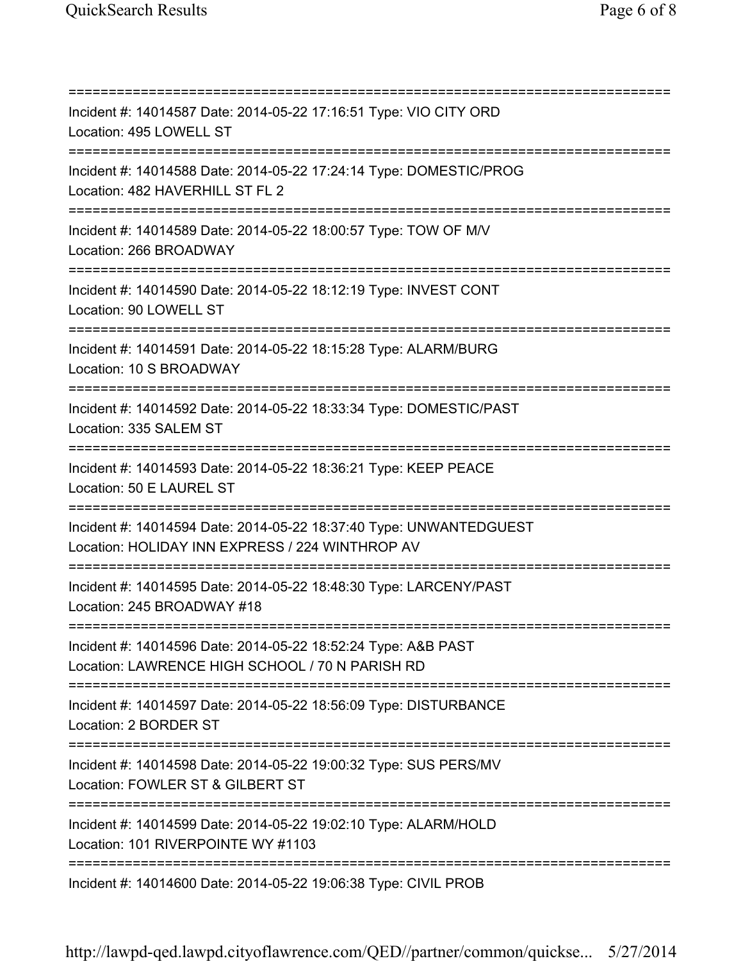=========================================================================== Incident #: 14014587 Date: 2014-05-22 17:16:51 Type: VIO CITY ORD Location: 495 LOWELL ST =========================================================================== Incident #: 14014588 Date: 2014-05-22 17:24:14 Type: DOMESTIC/PROG Location: 482 HAVERHILL ST FL 2 =========================================================================== Incident #: 14014589 Date: 2014-05-22 18:00:57 Type: TOW OF M/V Location: 266 BROADWAY =========================================================================== Incident #: 14014590 Date: 2014-05-22 18:12:19 Type: INVEST CONT Location: 90 LOWELL ST =========================================================================== Incident #: 14014591 Date: 2014-05-22 18:15:28 Type: ALARM/BURG Location: 10 S BROADWAY =========================================================================== Incident #: 14014592 Date: 2014-05-22 18:33:34 Type: DOMESTIC/PAST Location: 335 SALEM ST =========================================================================== Incident #: 14014593 Date: 2014-05-22 18:36:21 Type: KEEP PEACE Location: 50 E LAUREL ST =========================================================================== Incident #: 14014594 Date: 2014-05-22 18:37:40 Type: UNWANTEDGUEST Location: HOLIDAY INN EXPRESS / 224 WINTHROP AV =========================================================================== Incident #: 14014595 Date: 2014-05-22 18:48:30 Type: LARCENY/PAST Location: 245 BROADWAY #18 =========================================================================== Incident #: 14014596 Date: 2014-05-22 18:52:24 Type: A&B PAST Location: LAWRENCE HIGH SCHOOL / 70 N PARISH RD =========================================================================== Incident #: 14014597 Date: 2014-05-22 18:56:09 Type: DISTURBANCE Location: 2 BORDER ST =========================================================================== Incident #: 14014598 Date: 2014-05-22 19:00:32 Type: SUS PERS/MV Location: FOWLER ST & GILBERT ST =========================================================================== Incident #: 14014599 Date: 2014-05-22 19:02:10 Type: ALARM/HOLD Location: 101 RIVERPOINTE WY #1103 =========================================================================== Incident #: 14014600 Date: 2014-05-22 19:06:38 Type: CIVIL PROB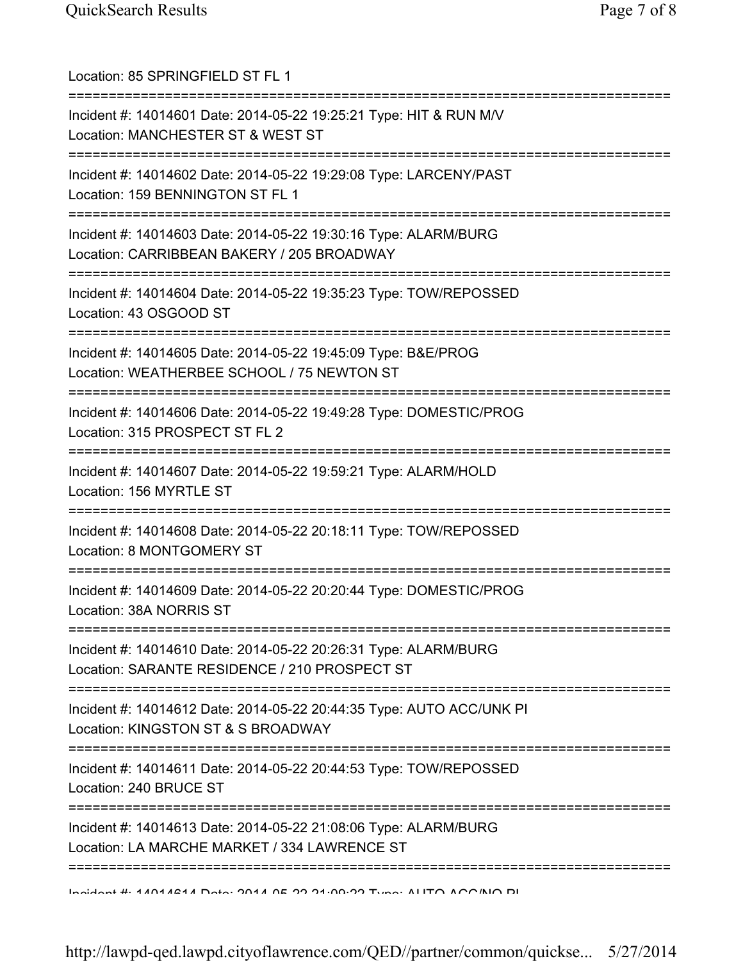| Location: 85 SPRINGFIELD ST FL 1<br>==========================                                                                |
|-------------------------------------------------------------------------------------------------------------------------------|
| Incident #: 14014601 Date: 2014-05-22 19:25:21 Type: HIT & RUN M/V<br>Location: MANCHESTER ST & WEST ST                       |
| Incident #: 14014602 Date: 2014-05-22 19:29:08 Type: LARCENY/PAST<br>Location: 159 BENNINGTON ST FL 1                         |
| Incident #: 14014603 Date: 2014-05-22 19:30:16 Type: ALARM/BURG<br>Location: CARRIBBEAN BAKERY / 205 BROADWAY                 |
| Incident #: 14014604 Date: 2014-05-22 19:35:23 Type: TOW/REPOSSED<br>Location: 43 OSGOOD ST<br>============================== |
| Incident #: 14014605 Date: 2014-05-22 19:45:09 Type: B&E/PROG<br>Location: WEATHERBEE SCHOOL / 75 NEWTON ST                   |
| Incident #: 14014606 Date: 2014-05-22 19:49:28 Type: DOMESTIC/PROG<br>Location: 315 PROSPECT ST FL 2                          |
| =========<br>Incident #: 14014607 Date: 2014-05-22 19:59:21 Type: ALARM/HOLD<br>Location: 156 MYRTLE ST                       |
| Incident #: 14014608 Date: 2014-05-22 20:18:11 Type: TOW/REPOSSED<br>Location: 8 MONTGOMERY ST                                |
| Incident #: 14014609 Date: 2014-05-22 20:20:44 Type: DOMESTIC/PROG<br>Location: 38A NORRIS ST                                 |
| Incident #: 14014610 Date: 2014-05-22 20:26:31 Type: ALARM/BURG<br>Location: SARANTE RESIDENCE / 210 PROSPECT ST              |
| Incident #: 14014612 Date: 2014-05-22 20:44:35 Type: AUTO ACC/UNK PI<br>Location: KINGSTON ST & S BROADWAY                    |
| Incident #: 14014611 Date: 2014-05-22 20:44:53 Type: TOW/REPOSSED<br>Location: 240 BRUCE ST                                   |
| Incident #: 14014613 Date: 2014-05-22 21:08:06 Type: ALARM/BURG<br>Location: LA MARCHE MARKET / 334 LAWRENCE ST               |
| $A \sim A$                                                                                                                    |